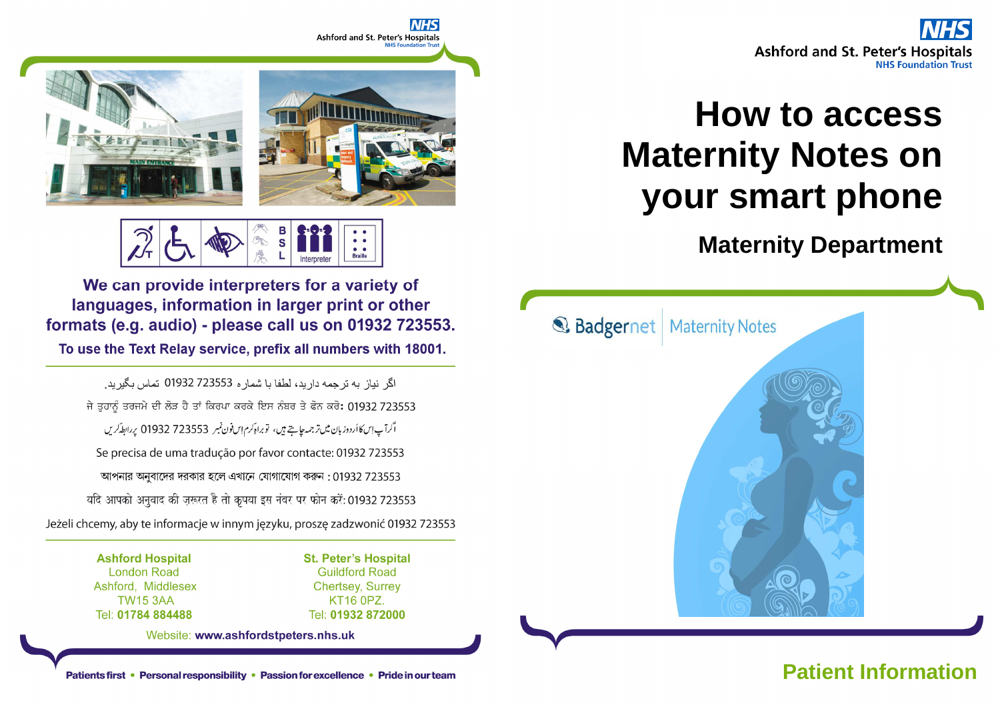

# **How to access Maternity Notes on your smart phone**

 **Maternity Department** 



# **Patient Information**



Е  $\overline{\mathbf{s}}$ **Braille** 

We can provide interpreters for a variety of languages, information in larger print or other formats (e.g. audio) - please call us on 01932 723553.

To use the Text Relay service, prefix all numbers with 18001.

اگر نباز به ترجمه دار بد، لطفا با شمار ه 723553 01932 تماس بگیر بد. ਜੇ ਤੁਹਾਨੂੰ ਤਰਜਮੇ ਦੀ ਲੋੜ ਹੈ ਤਾਂ ਕਿਰਪਾ ਕਰਕੇ ਇਸ ਨੰਬਰ ਤੇ ਫੋਨ ਕਰੋ: 01932 723553 اگرآپ اِسکا اُردوز بان میں تر جمہ جاہتے ہیں، تو براہ کرم اِس فون نمبر 723553 01932 پر ابطہ کریں Se precisa de uma tradução por favor contacte: 01932 723553 আপনার অনুবাদের দরকার হলে এখানে যোগাযোগ করুন: 01932 723553 यदि आपको अनुवाद की ज़रूरत है तो कृपया इस नंबर पर फोन करें: 01932 723553 Jeżeli chcemy, aby te informacje w innym języku, proszę zadzwonić 01932 723553

> **Ashford Hospital London Road** Ashford, Middlesex **TW15 3AA** Tel: 01784 884488

**St. Peter's Hospital Guildford Road Chertsey, Surrey** KT16 0PZ. Tel: 01932 872000

Website: www.ashfordstpeters.nhs.uk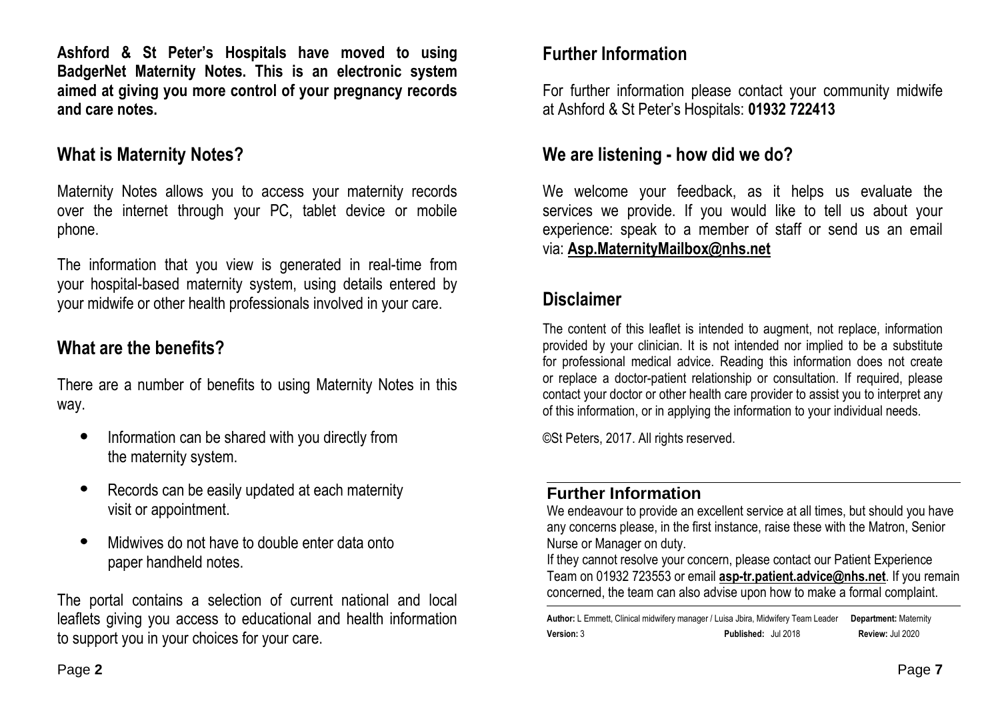**Ashford & St Peter's Hospitals have moved to using BadgerNet Maternity Notes. This is an electronic system aimed at giving you more control of your pregnancy records and care notes.** 

### **What is Maternity Notes?**

Maternity Notes allows you to access your maternity records over the internet through your PC, tablet device or mobile phone.

The information that you view is generated in real-time from your hospital-based maternity system, using details entered by your midwife or other health professionals involved in your care.

## **What are the benefits?**

There are a number of benefits to using Maternity Notes in this way.

- Information can be shared with you directly from the maternity system.
- Records can be easily updated at each maternity visit or appointment.
- Midwives do not have to double enter data onto paper handheld notes.

The portal contains a selection of current national and local leaflets giving you access to educational and health information to support you in your choices for your care.

## **Further Information**

For further information please contact your community midwife at Ashford & St Peter's Hospitals: **01932 722413**

## **We are listening - how did we do?**

We welcome your feedback, as it helps us evaluate the services we provide. If you would like to tell us about your experience: speak to a member of staff or send us an email via: **Asp.MaternityMailbox@nhs.net**

## **Disclaimer**

The content of this leaflet is intended to augment, not replace, information provided by your clinician. It is not intended nor implied to be a substitute for professional medical advice. Reading this information does not create or replace a doctor-patient relationship or consultation. If required, please contact your doctor or other health care provider to assist you to interpret any of this information, or in applying the information to your individual needs.

©St Peters, 2017. All rights reserved.

#### **Further Information**

 We endeavour to provide an excellent service at all times, but should you have any concerns please, in the first instance, raise these with the Matron, Senior Nurse or Manager on duty.

 If they cannot resolve your concern, please contact our Patient Experience Team on 01932 723553 or email **asp-tr.patient.advice@nhs.net**. If you remain concerned, the team can also advise upon how to make a formal complaint.

**Author:** L Emmett, Clinical midwifery manager / Luisa Jbira, Midwifery Team Leader **Department:** Maternity**Version:** 3 **Published:** Jul 2018 **Review:** Jul 2020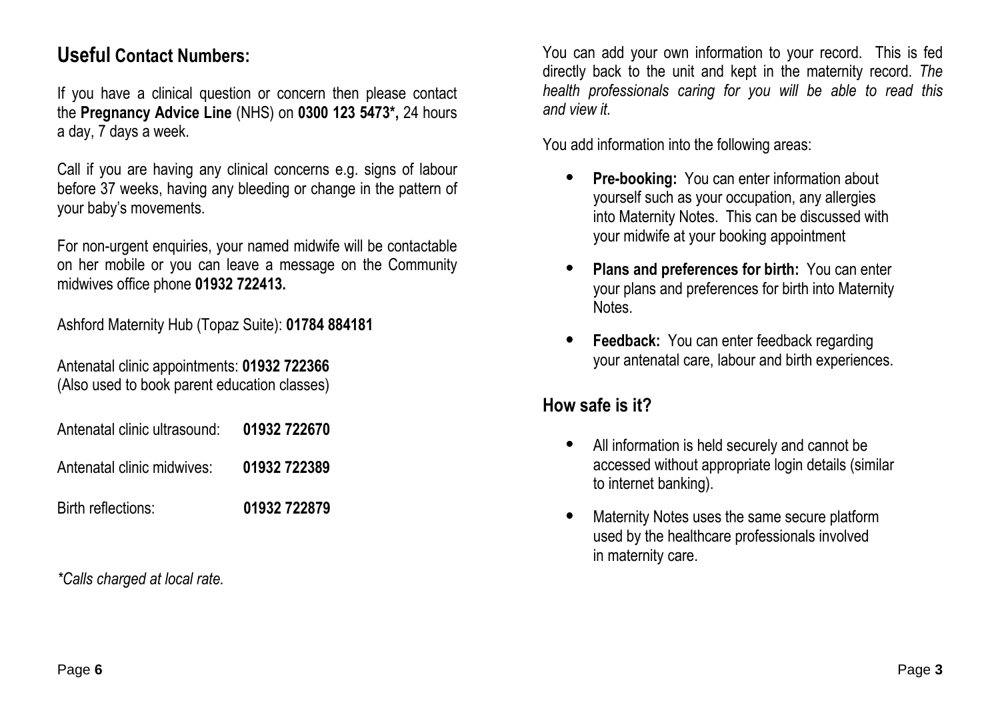# **Useful Contact Numbers:**

If you have a clinical question or concern then please contact the **Pregnancy Advice Line** (NHS) on **0300 123 5473\*,** 24 hours a day, 7 days a week.

Call if you are having any clinical concerns e.g. signs of labour before 37 weeks, having any bleeding or change in the pattern of your baby's movements.

For non-urgent enquiries, your named midwife will be contactable on her mobile or you can leave a message on the Community midwives office phone **01932 722413.** 

Ashford Maternity Hub (Topaz Suite): **01784 884181**

Antenatal clinic appointments: **01932 722366**(Also used to book parent education classes)

| Antenatal clinic ultrasound: | 01932 722670 |
|------------------------------|--------------|
|------------------------------|--------------|

- Antenatal clinic midwives: **01932 722389**
- Birth reflections: **01932 722879**

*\*Calls charged at local rate.* 

You can add your own information to your record. This is fed directly back to the unit and kept in the maternity record. *The health professionals caring for you will be able to read this and view it.* 

You add information into the following areas:

- • **Pre-booking:** You can enter information about yourself such as your occupation, any allergies into Maternity Notes. This can be discussed with your midwife at your booking appointment
- • **Plans and preferences for birth:** You can enter your plans and preferences for birth into Maternity**Notes**
- $\bullet$  **Feedback:** You can enter feedback regarding your antenatal care, labour and birth experiences.

# **How safe is it?**

- • All information is held securely and cannot be accessed without appropriate login details (similarto internet banking).
- • Maternity Notes uses the same secure platform used by the healthcare professionals involved in maternity care.